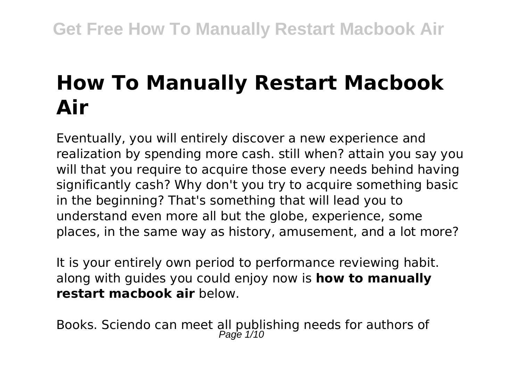# **How To Manually Restart Macbook Air**

Eventually, you will entirely discover a new experience and realization by spending more cash. still when? attain you say you will that you require to acquire those every needs behind having significantly cash? Why don't you try to acquire something basic in the beginning? That's something that will lead you to understand even more all but the globe, experience, some places, in the same way as history, amusement, and a lot more?

It is your entirely own period to performance reviewing habit. along with guides you could enjoy now is **how to manually restart macbook air** below.

Books. Sciendo can meet all publishing needs for authors of<br>Page 1/10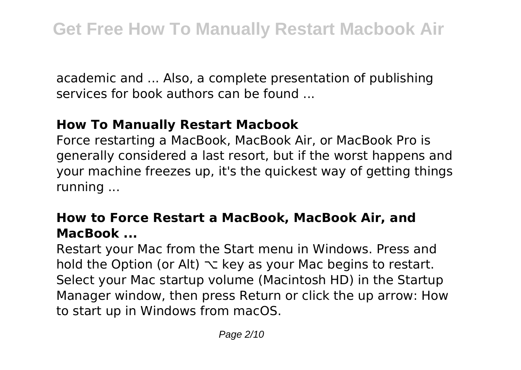academic and ... Also, a complete presentation of publishing services for book authors can be found ...

### **How To Manually Restart Macbook**

Force restarting a MacBook, MacBook Air, or MacBook Pro is generally considered a last resort, but if the worst happens and your machine freezes up, it's the quickest way of getting things running ...

### **How to Force Restart a MacBook, MacBook Air, and MacBook ...**

Restart your Mac from the Start menu in Windows. Press and hold the Option (or Alt)  $\sim$  key as your Mac begins to restart. Select your Mac startup volume (Macintosh HD) in the Startup Manager window, then press Return or click the up arrow: How to start up in Windows from macOS.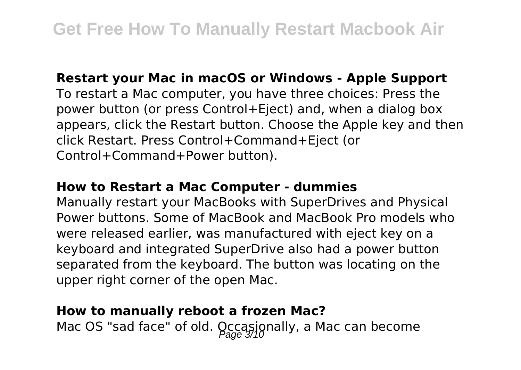### **Restart your Mac in macOS or Windows - Apple Support**

To restart a Mac computer, you have three choices: Press the power button (or press Control+Eject) and, when a dialog box appears, click the Restart button. Choose the Apple key and then click Restart. Press Control+Command+Eject (or Control+Command+Power button).

### **How to Restart a Mac Computer - dummies**

Manually restart your MacBooks with SuperDrives and Physical Power buttons. Some of MacBook and MacBook Pro models who were released earlier, was manufactured with eject key on a keyboard and integrated SuperDrive also had a power button separated from the keyboard. The button was locating on the upper right corner of the open Mac.

### **How to manually reboot a frozen Mac?**

Mac OS "sad face" of old. Occasionally, a Mac can become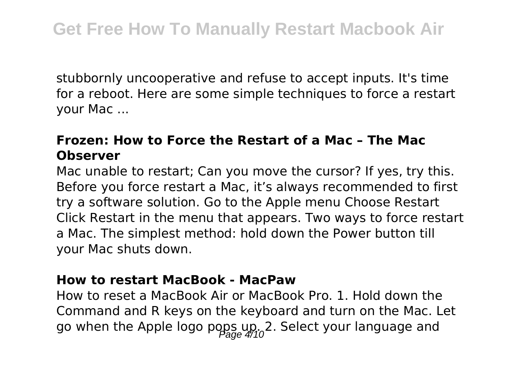stubbornly uncooperative and refuse to accept inputs. It's time for a reboot. Here are some simple techniques to force a restart your Mac ...

### **Frozen: How to Force the Restart of a Mac – The Mac Observer**

Mac unable to restart; Can you move the cursor? If yes, try this. Before you force restart a Mac, it's always recommended to first try a software solution. Go to the Apple menu Choose Restart Click Restart in the menu that appears. Two ways to force restart a Mac. The simplest method: hold down the Power button till your Mac shuts down.

### **How to restart MacBook - MacPaw**

How to reset a MacBook Air or MacBook Pro. 1. Hold down the Command and R keys on the keyboard and turn on the Mac. Let go when the Apple logo pops up. 2. Select your language and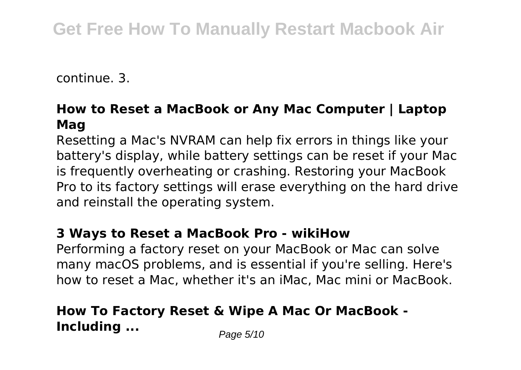continue. 3.

### **How to Reset a MacBook or Any Mac Computer | Laptop Mag**

Resetting a Mac's NVRAM can help fix errors in things like your battery's display, while battery settings can be reset if your Mac is frequently overheating or crashing. Restoring your MacBook Pro to its factory settings will erase everything on the hard drive and reinstall the operating system.

### **3 Ways to Reset a MacBook Pro - wikiHow**

Performing a factory reset on your MacBook or Mac can solve many macOS problems, and is essential if you're selling. Here's how to reset a Mac, whether it's an iMac, Mac mini or MacBook.

### **How To Factory Reset & Wipe A Mac Or MacBook - Including ...** Page 5/10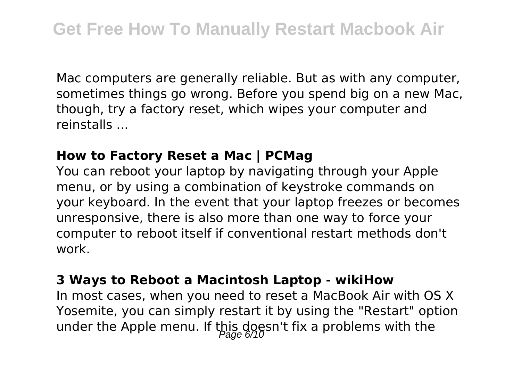Mac computers are generally reliable. But as with any computer, sometimes things go wrong. Before you spend big on a new Mac, though, try a factory reset, which wipes your computer and reinstalls ...

### **How to Factory Reset a Mac | PCMag**

You can reboot your laptop by navigating through your Apple menu, or by using a combination of keystroke commands on your keyboard. In the event that your laptop freezes or becomes unresponsive, there is also more than one way to force your computer to reboot itself if conventional restart methods don't work.

### **3 Ways to Reboot a Macintosh Laptop - wikiHow**

In most cases, when you need to reset a MacBook Air with OS X Yosemite, you can simply restart it by using the "Restart" option under the Apple menu. If this doesn't fix a problems with the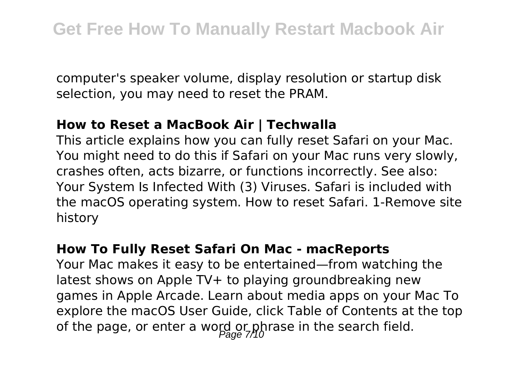computer's speaker volume, display resolution or startup disk selection, you may need to reset the PRAM.

### **How to Reset a MacBook Air | Techwalla**

This article explains how you can fully reset Safari on your Mac. You might need to do this if Safari on your Mac runs very slowly, crashes often, acts bizarre, or functions incorrectly. See also: Your System Is Infected With (3) Viruses. Safari is included with the macOS operating system. How to reset Safari. 1-Remove site history

### **How To Fully Reset Safari On Mac - macReports**

Your Mac makes it easy to be entertained—from watching the latest shows on Apple TV+ to playing groundbreaking new games in Apple Arcade. Learn about media apps on your Mac To explore the macOS User Guide, click Table of Contents at the top of the page, or enter a word or phrase in the search field.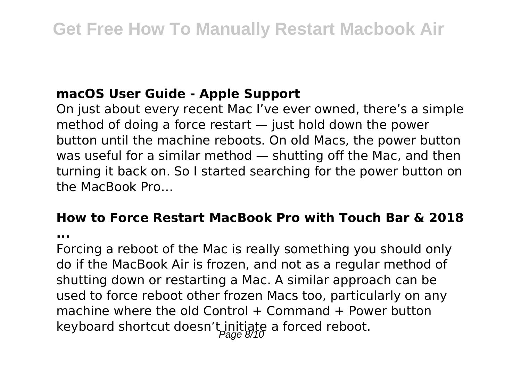### **macOS User Guide - Apple Support**

On just about every recent Mac I've ever owned, there's a simple method of doing a force restart — just hold down the power button until the machine reboots. On old Macs, the power button was useful for a similar method — shutting off the Mac, and then turning it back on. So I started searching for the power button on the MacBook Pro…

# **How to Force Restart MacBook Pro with Touch Bar & 2018**

**...**

Forcing a reboot of the Mac is really something you should only do if the MacBook Air is frozen, and not as a regular method of shutting down or restarting a Mac. A similar approach can be used to force reboot other frozen Macs too, particularly on any machine where the old Control  $+$  Command  $+$  Power button keyboard shortcut doesn't initiate a forced reboot.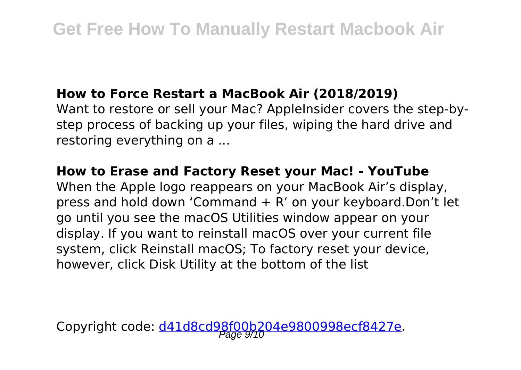### **How to Force Restart a MacBook Air (2018/2019)**

Want to restore or sell your Mac? AppleInsider covers the step-bystep process of backing up your files, wiping the hard drive and restoring everything on a ...

### **How to Erase and Factory Reset your Mac! - YouTube**

When the Apple logo reappears on your MacBook Air's display, press and hold down 'Command + R' on your keyboard.Don't let go until you see the macOS Utilities window appear on your display. If you want to reinstall macOS over your current file system, click Reinstall macOS; To factory reset your device, however, click Disk Utility at the bottom of the list

Copyright code: <u>d41d8cd98f00b204e9800998ecf8427e</u>.<br>Page 9/10